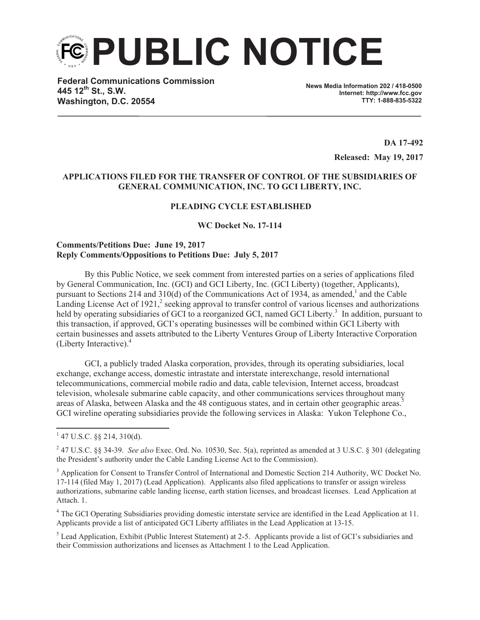**PUBLIC NOTICE**

**Federal Communications Commission 445 12th St., S.W. Washington, D.C. 20554**

**News Media Information 202 / 418-0500 Internet: http://www.fcc.gov TTY: 1-888-835-5322**

> **DA 17-492 Released: May 19, 2017**

# **APPLICATIONS FILED FOR THE TRANSFER OF CONTROL OF THE SUBSIDIARIES OF GENERAL COMMUNICATION, INC. TO GCI LIBERTY, INC.**

### **PLEADING CYCLE ESTABLISHED**

**WC Docket No. 17-114**

### **Comments/Petitions Due: June 19, 2017 Reply Comments/Oppositions to Petitions Due: July 5, 2017**

By this Public Notice, we seek comment from interested parties on a series of applications filed by General Communication, Inc. (GCI) and GCI Liberty, Inc. (GCI Liberty) (together, Applicants), pursuant to Sections 214 and 310(d) of the Communications Act of 1934, as amended,<sup>1</sup> and the Cable Landing License Act of 1921, $^2$  seeking approval to transfer control of various licenses and authorizations held by operating subsidiaries of GCI to a reorganized GCI, named GCI Liberty.<sup>3</sup> In addition, pursuant to this transaction, if approved, GCI's operating businesses will be combined within GCI Liberty with certain businesses and assets attributed to the Liberty Ventures Group of Liberty Interactive Corporation (Liberty Interactive).<sup>4</sup>

GCI, a publicly traded Alaska corporation, provides, through its operating subsidiaries, local exchange, exchange access, domestic intrastate and interstate interexchange, resold international telecommunications, commercial mobile radio and data, cable television, Internet access, broadcast television, wholesale submarine cable capacity, and other communications services throughout many areas of Alaska, between Alaska and the 48 contiguous states, and in certain other geographic areas.<sup>5</sup> GCI wireline operating subsidiaries provide the following services in Alaska: Yukon Telephone Co.,

<sup>4</sup> The GCI Operating Subsidiaries providing domestic interstate service are identified in the Lead Application at 11. Applicants provide a list of anticipated GCI Liberty affiliates in the Lead Application at 13-15.

<sup>5</sup> Lead Application, Exhibit (Public Interest Statement) at 2-5. Applicants provide a list of GCI's subsidiaries and their Commission authorizations and licenses as Attachment 1 to the Lead Application.

 $1$  47 U.S.C. §§ 214, 310(d).

<sup>2</sup> 47 U.S.C. §§ 34-39. *See also* Exec. Ord. No. 10530, Sec. 5(a), reprinted as amended at 3 U.S.C. § 301 (delegating the President's authority under the Cable Landing License Act to the Commission).

<sup>&</sup>lt;sup>3</sup> Application for Consent to Transfer Control of International and Domestic Section 214 Authority, WC Docket No. 17-114 (filed May 1, 2017) (Lead Application). Applicants also filed applications to transfer or assign wireless authorizations, submarine cable landing license, earth station licenses, and broadcast licenses. Lead Application at Attach. 1.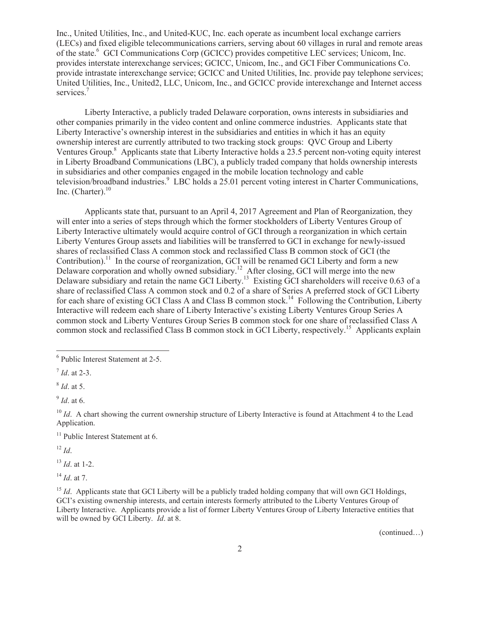Inc., United Utilities, Inc., and United-KUC, Inc. each operate as incumbent local exchange carriers (LECs) and fixed eligible telecommunications carriers, serving about 60 villages in rural and remote areas of the state.<sup>6</sup> GCI Communications Corp (GCICC) provides competitive LEC services; Unicom, Inc. provides interstate interexchange services; GCICC, Unicom, Inc., and GCI Fiber Communications Co. provide intrastate interexchange service; GCICC and United Utilities, Inc. provide pay telephone services; United Utilities, Inc., United2, LLC, Unicom, Inc., and GCICC provide interexchange and Internet access services.<sup>7</sup>

Liberty Interactive, a publicly traded Delaware corporation, owns interests in subsidiaries and other companies primarily in the video content and online commerce industries. Applicants state that Liberty Interactive's ownership interest in the subsidiaries and entities in which it has an equity ownership interest are currently attributed to two tracking stock groups: QVC Group and Liberty Ventures Group.<sup>8</sup> Applicants state that Liberty Interactive holds a 23.5 percent non-voting equity interest in Liberty Broadband Communications (LBC), a publicly traded company that holds ownership interests in subsidiaries and other companies engaged in the mobile location technology and cable television/broadband industries.<sup>9</sup> LBC holds a 25.01 percent voting interest in Charter Communications, Inc. (Charter). $^{10}$ 

Applicants state that, pursuant to an April 4, 2017 Agreement and Plan of Reorganization, they will enter into a series of steps through which the former stockholders of Liberty Ventures Group of Liberty Interactive ultimately would acquire control of GCI through a reorganization in which certain Liberty Ventures Group assets and liabilities will be transferred to GCI in exchange for newly-issued shares of reclassified Class A common stock and reclassified Class B common stock of GCI (the Contribution).<sup>11</sup> In the course of reorganization, GCI will be renamed GCI Liberty and form a new Delaware corporation and wholly owned subsidiary.<sup>12</sup> After closing, GCI will merge into the new Delaware subsidiary and retain the name GCI Liberty.<sup>13</sup> Existing GCI shareholders will receive 0.63 of a share of reclassified Class A common stock and 0.2 of a share of Series A preferred stock of GCI Liberty for each share of existing GCI Class A and Class B common stock.<sup>14</sup> Following the Contribution, Liberty Interactive will redeem each share of Liberty Interactive's existing Liberty Ventures Group Series A common stock and Liberty Ventures Group Series B common stock for one share of reclassified Class A common stock and reclassified Class B common stock in GCI Liberty, respectively.<sup>15</sup> Applicants explain

9 *Id*. at 6.

<sup>10</sup> *Id.* A chart showing the current ownership structure of Liberty Interactive is found at Attachment 4 to the Lead Application.

 $11$  Public Interest Statement at 6.

 $12 \, Id.$ 

<sup>13</sup> *Id*. at 1-2.

<sup>14</sup> *Id*. at 7.

<sup>15</sup> *Id.* Applicants state that GCI Liberty will be a publicly traded holding company that will own GCI Holdings, GCI's existing ownership interests, and certain interests formerly attributed to the Liberty Ventures Group of Liberty Interactive. Applicants provide a list of former Liberty Ventures Group of Liberty Interactive entities that will be owned by GCI Liberty. *Id*. at 8.

(continued…)

<sup>6</sup> Public Interest Statement at 2-5.

<sup>7</sup> *Id*. at 2-3.

<sup>8</sup> *Id*. at 5.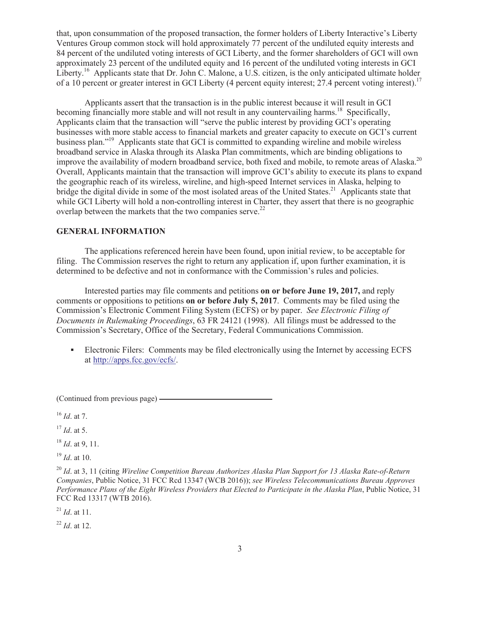that, upon consummation of the proposed transaction, the former holders of Liberty Interactive's Liberty Ventures Group common stock will hold approximately 77 percent of the undiluted equity interests and 84 percent of the undiluted voting interests of GCI Liberty, and the former shareholders of GCI will own approximately 23 percent of the undiluted equity and 16 percent of the undiluted voting interests in GCI Liberty.<sup>16</sup> Applicants state that Dr. John C. Malone, a U.S. citizen, is the only anticipated ultimate holder of a 10 percent or greater interest in GCI Liberty (4 percent equity interest; 27.4 percent voting interest).<sup>17</sup>

Applicants assert that the transaction is in the public interest because it will result in GCI becoming financially more stable and will not result in any countervailing harms.<sup>18</sup> Specifically, Applicants claim that the transaction will "serve the public interest by providing GCI's operating businesses with more stable access to financial markets and greater capacity to execute on GCI's current business plan."<sup>19</sup> Applicants state that GCI is committed to expanding wireline and mobile wireless broadband service in Alaska through its Alaska Plan commitments, which are binding obligations to improve the availability of modern broadband service, both fixed and mobile, to remote areas of Alaska.<sup>20</sup> Overall, Applicants maintain that the transaction will improve GCI's ability to execute its plans to expand the geographic reach of its wireless, wireline, and high-speed Internet services in Alaska, helping to bridge the digital divide in some of the most isolated areas of the United States.<sup>21</sup> Applicants state that while GCI Liberty will hold a non-controlling interest in Charter, they assert that there is no geographic overlap between the markets that the two companies serve.<sup>22</sup>

### **GENERAL INFORMATION**

The applications referenced herein have been found, upon initial review, to be acceptable for filing. The Commission reserves the right to return any application if, upon further examination, it is determined to be defective and not in conformance with the Commission's rules and policies.

Interested parties may file comments and petitions **on or before June 19, 2017,** and reply comments or oppositions to petitions **on or before July 5, 2017**. Comments may be filed using the Commission's Electronic Comment Filing System (ECFS) or by paper. *See Electronic Filing of Documents in Rulemaking Proceedings*, 63 FR 24121 (1998). All filings must be addressed to the Commission's Secretary, Office of the Secretary, Federal Communications Commission.

• Electronic Filers: Comments may be filed electronically using the Internet by accessing ECFS at http://apps.fcc.gov/ecfs/.

(Continued from previous page)

<sup>16</sup> *Id*. at 7.

<sup>17</sup> *Id*. at 5.

<sup>18</sup> *Id*. at 9, 11.

<sup>19</sup> *Id*. at 10.

<sup>20</sup> *Id*. at 3, 11 (citing *Wireline Competition Bureau Authorizes Alaska Plan Support for 13 Alaska Rate-of-Return Companies*, Public Notice, 31 FCC Rcd 13347 (WCB 2016)); *see Wireless Telecommunications Bureau Approves Performance Plans of the Eight Wireless Providers that Elected to Participate in the Alaska Plan*, Public Notice, 31 FCC Rcd 13317 (WTB 2016).

<sup>21</sup> *Id*. at 11.

<sup>22</sup> *Id*. at 12.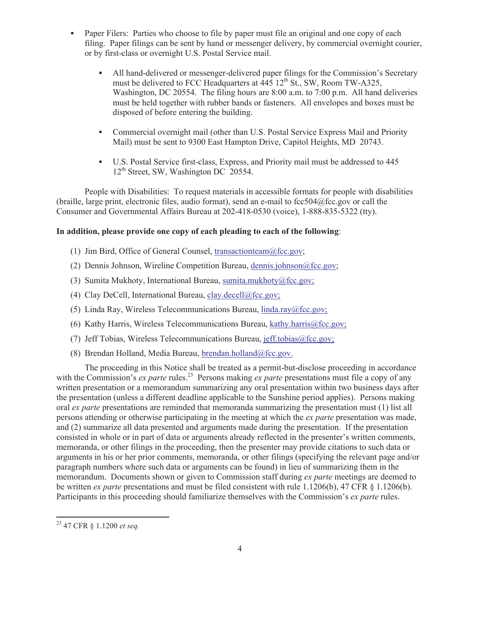- Paper Filers: Parties who choose to file by paper must file an original and one copy of each filing. Paper filings can be sent by hand or messenger delivery, by commercial overnight courier, or by first-class or overnight U.S. Postal Service mail.
	- All hand-delivered or messenger-delivered paper filings for the Commission's Secretary must be delivered to FCC Headquarters at  $\frac{445}{12}$ th St., SW, Room TW-A325, Washington, DC 20554. The filing hours are 8:00 a.m. to 7:00 p.m. All hand deliveries must be held together with rubber bands or fasteners. All envelopes and boxes must be disposed of before entering the building.
	- Commercial overnight mail (other than U.S. Postal Service Express Mail and Priority Mail) must be sent to 9300 East Hampton Drive, Capitol Heights, MD 20743.
	- § U.S. Postal Service first-class, Express, and Priority mail must be addressed to 445 12<sup>th</sup> Street, SW, Washington DC 20554.

People with Disabilities: To request materials in accessible formats for people with disabilities (braille, large print, electronic files, audio format), send an e-mail to fcc504@fcc.gov or call the Consumer and Governmental Affairs Bureau at 202-418-0530 (voice), 1-888-835-5322 (tty).

### **In addition, please provide one copy of each pleading to each of the following**:

- (1) Jim Bird, Office of General Counsel, transactionteam@fcc.gov;
- (2) Dennis Johnson, Wireline Competition Bureau, dennis.johnson@fcc.gov;
- (3) Sumita Mukhoty, International Bureau, sumita.mukhoty@fcc.gov;
- (4) Clay DeCell, International Bureau, clay.decell@fcc.gov;
- (5) Linda Ray, Wireless Telecommunications Bureau, linda.ray@fcc.gov;
- (6) Kathy Harris, Wireless Telecommunications Bureau, kathy.harris@fcc.gov;
- (7) Jeff Tobias, Wireless Telecommunications Bureau, jeff.tobias@fcc.gov;
- (8) Brendan Holland, Media Bureau, brendan.holland@fcc.gov.

The proceeding in this Notice shall be treated as a permit-but-disclose proceeding in accordance with the Commission's *ex parte* rules.<sup>23</sup> Persons making *ex parte* presentations must file a copy of any written presentation or a memorandum summarizing any oral presentation within two business days after the presentation (unless a different deadline applicable to the Sunshine period applies). Persons making oral *ex parte* presentations are reminded that memoranda summarizing the presentation must (1) list all persons attending or otherwise participating in the meeting at which the *ex parte* presentation was made, and (2) summarize all data presented and arguments made during the presentation. If the presentation consisted in whole or in part of data or arguments already reflected in the presenter's written comments, memoranda, or other filings in the proceeding, then the presenter may provide citations to such data or arguments in his or her prior comments, memoranda, or other filings (specifying the relevant page and/or paragraph numbers where such data or arguments can be found) in lieu of summarizing them in the memorandum. Documents shown or given to Commission staff during *ex parte* meetings are deemed to be written *ex parte* presentations and must be filed consistent with rule 1.1206(b), 47 CFR § 1.1206(b). Participants in this proceeding should familiarize themselves with the Commission's *ex parte* rules.

<sup>23</sup> 47 CFR § 1.1200 *et seq.*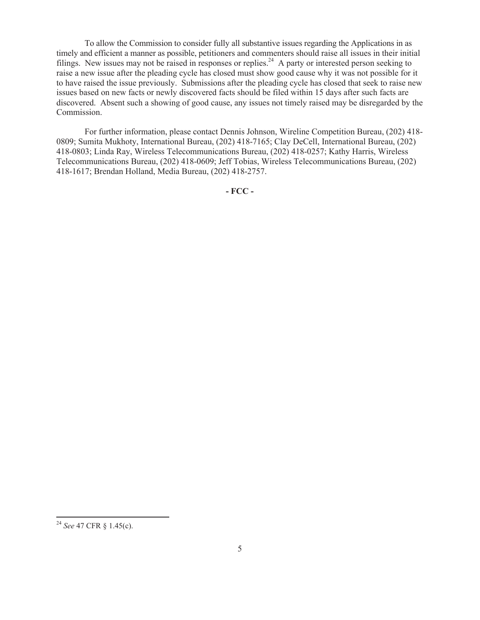To allow the Commission to consider fully all substantive issues regarding the Applications in as timely and efficient a manner as possible, petitioners and commenters should raise all issues in their initial filings. New issues may not be raised in responses or replies.<sup>24</sup> A party or interested person seeking to raise a new issue after the pleading cycle has closed must show good cause why it was not possible for it to have raised the issue previously. Submissions after the pleading cycle has closed that seek to raise new issues based on new facts or newly discovered facts should be filed within 15 days after such facts are discovered. Absent such a showing of good cause, any issues not timely raised may be disregarded by the Commission.

For further information, please contact Dennis Johnson, Wireline Competition Bureau, (202) 418- 0809; Sumita Mukhoty, International Bureau, (202) 418-7165; Clay DeCell, International Bureau, (202) 418-0803; Linda Ray, Wireless Telecommunications Bureau, (202) 418-0257; Kathy Harris, Wireless Telecommunications Bureau, (202) 418-0609; Jeff Tobias, Wireless Telecommunications Bureau, (202) 418-1617; Brendan Holland, Media Bureau, (202) 418-2757.

**- FCC -**

<sup>24</sup> *See* 47 CFR § 1.45(c).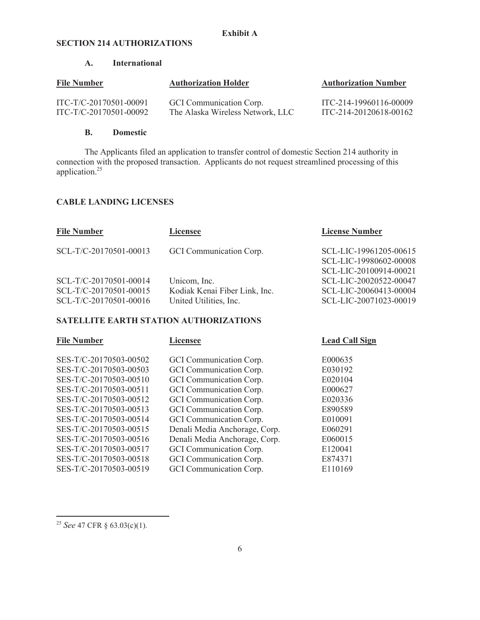### **SECTION 214 AUTHORIZATIONS**

### **A. International**

| <b>File Number</b>     | <b>Authorization Holder</b>      | <b>Authorization Number</b> |
|------------------------|----------------------------------|-----------------------------|
| ITC-T/C-20170501-00091 | GCI Communication Corp.          | ITC-214-19960116-00009      |
| ITC-T/C-20170501-00092 | The Alaska Wireless Network, LLC | ITC-214-20120618-00162      |

#### **B. Domestic**

The Applicants filed an application to transfer control of domestic Section 214 authority in connection with the proposed transaction. Applicants do not request streamlined processing of this application.<sup>25</sup>

#### **CABLE LANDING LICENSES**

| <b>File Number</b>     | Licensee                      | <b>License Number</b>  |
|------------------------|-------------------------------|------------------------|
| SCL-T/C-20170501-00013 | GCI Communication Corp.       | SCL-LIC-19961205-00615 |
|                        |                               | SCL-LIC-19980602-00008 |
|                        |                               | SCL-LIC-20100914-00021 |
| SCL-T/C-20170501-00014 | Unicom, Inc.                  | SCL-LIC-20020522-00047 |
| SCL-T/C-20170501-00015 | Kodiak Kenai Fiber Link, Inc. | SCL-LIC-20060413-00004 |
| SCL-T/C-20170501-00016 | United Utilities, Inc.        | SCL-LIC-20071023-00019 |
|                        |                               |                        |

#### **SATELLITE EARTH STATION AUTHORIZATIONS**

| <b>File Number</b>     | <b>Licensee</b>               | <b>Lead Call Sign</b> |
|------------------------|-------------------------------|-----------------------|
| SES-T/C-20170503-00502 | GCI Communication Corp.       | E000635               |
| SES-T/C-20170503-00503 | GCI Communication Corp.       | E030192               |
| SES-T/C-20170503-00510 | GCI Communication Corp.       | E020104               |
| SES-T/C-20170503-00511 | GCI Communication Corp.       | E000627               |
| SES-T/C-20170503-00512 | GCI Communication Corp.       | E020336               |
| SES-T/C-20170503-00513 | GCI Communication Corp.       | E890589               |
| SES-T/C-20170503-00514 | GCI Communication Corp.       | E010091               |
| SES-T/C-20170503-00515 | Denali Media Anchorage, Corp. | E060291               |
| SES-T/C-20170503-00516 | Denali Media Anchorage, Corp. | E060015               |
| SES-T/C-20170503-00517 | GCI Communication Corp.       | E120041               |
| SES-T/C-20170503-00518 | GCI Communication Corp.       | E874371               |
| SES-T/C-20170503-00519 | GCI Communication Corp.       | E110169               |

<sup>25</sup> *See* 47 CFR § 63.03(c)(1).